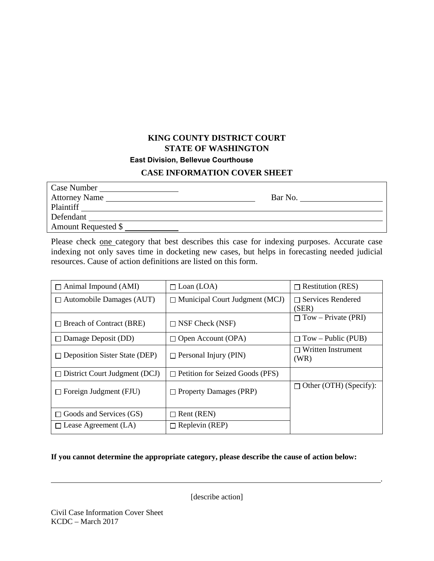## **KING COUNTY DISTRICT COURT STATE OF WASHINGTON East Division, Bellevue Courthouse**

## **CASE INFORMATION COVER SHEET**

| Case Number                |         |
|----------------------------|---------|
| Attorney Name              | Bar No. |
| Plaintiff                  |         |
| Defendant                  |         |
| <b>Amount Requested \$</b> |         |
|                            |         |

Please check one category that best describes this case for indexing purposes. Accurate case indexing not only saves time in docketing new cases, but helps in forecasting needed judicial resources. Cause of action definitions are listed on this form.

| $\Box$ Animal Impound (AMI)          | $\Box$ Loan (LOA)                      | $\Box$ Restitution (RES)          |
|--------------------------------------|----------------------------------------|-----------------------------------|
| $\Box$ Automobile Damages (AUT)      | $\Box$ Municipal Court Judgment (MCJ)  | $\Box$ Services Rendered<br>(SER) |
| $\Box$ Breach of Contract (BRE)      | $\Box$ NSF Check (NSF)                 | $\Box$ Tow – Private (PRI)        |
| $\Box$ Damage Deposit (DD)           | $\Box$ Open Account (OPA)              | $\Box$ Tow – Public (PUB)         |
| $\Box$ Deposition Sister State (DEP) | $\Box$ Personal Injury (PIN)           | $\Box$ Written Instrument<br>(WR) |
| $\Box$ District Court Judgment (DCJ) | $\Box$ Petition for Seized Goods (PFS) |                                   |
| $\Box$ Foreign Judgment (FJU)        | $\Box$ Property Damages (PRP)          | $\Box$ Other (OTH) (Specify):     |
| $\Box$ Goods and Services (GS)       | $\Box$ Rent (REN)                      |                                   |
| $\Box$ Lease Agreement (LA)          | $\Box$ Replevin (REP)                  |                                   |

## **If you cannot determine the appropriate category, please describe the cause of action below:**

[describe action]

.